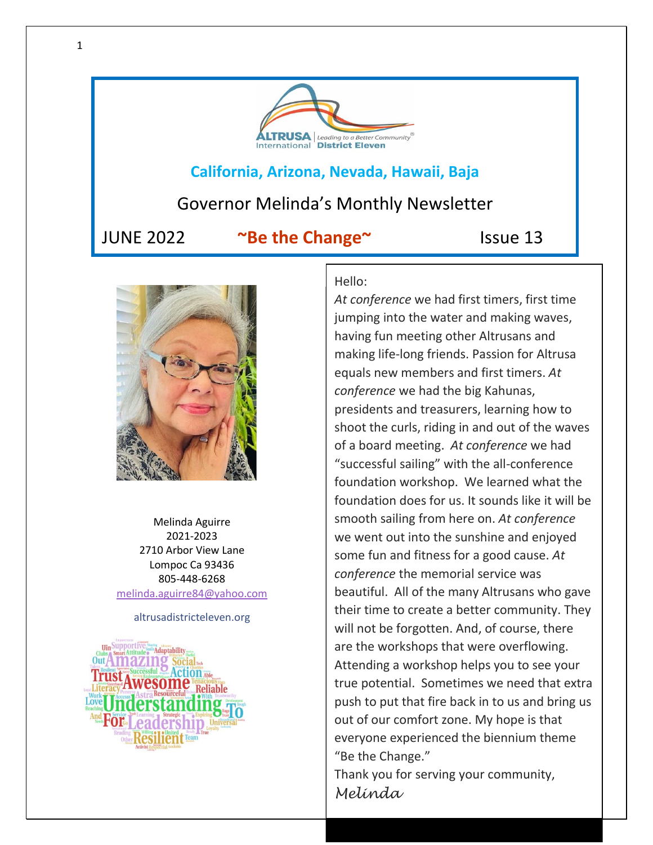

## **California, Arizona, Nevada, Hawaii, Baja**

# Governor Melinda's Monthly Newsletter

JUNE 2022 **~Be the Change~** Issue 13



Melinda Aguirre 2021-2023 2710 Arbor View Lane Lompoc Ca 93436 805-448-6268 [melinda.aguirre84@yahoo.com](mailto:melinda.aguirre84@yahoo.com)

### altrusadistricteleven.org



Hello:

*At conference* we had first timers, first time jumping into the water and making waves, having fun meeting other Altrusans and making life-long friends. Passion for Altrusa equals new members and first timers. *At conference* we had the big Kahunas, presidents and treasurers, learning how to shoot the curls, riding in and out of the waves of a board meeting. *At conference* we had "successful sailing" with the all-conference foundation workshop. We learned what the foundation does for us. It sounds like it will be smooth sailing from here on. *At conference* we went out into the sunshine and enjoyed some fun and fitness for a good cause. *At conference* the memorial service was beautiful. All of the many Altrusans who gave their time to create a better community. They will not be forgotten. And, of course, there are the workshops that were overflowing. Attending a workshop helps you to see your true potential. Sometimes we need that extra push to put that fire back in to us and bring us out of our comfort zone. My hope is that everyone experienced the biennium theme "Be the Change."

Thank you for serving your community, *Melinda*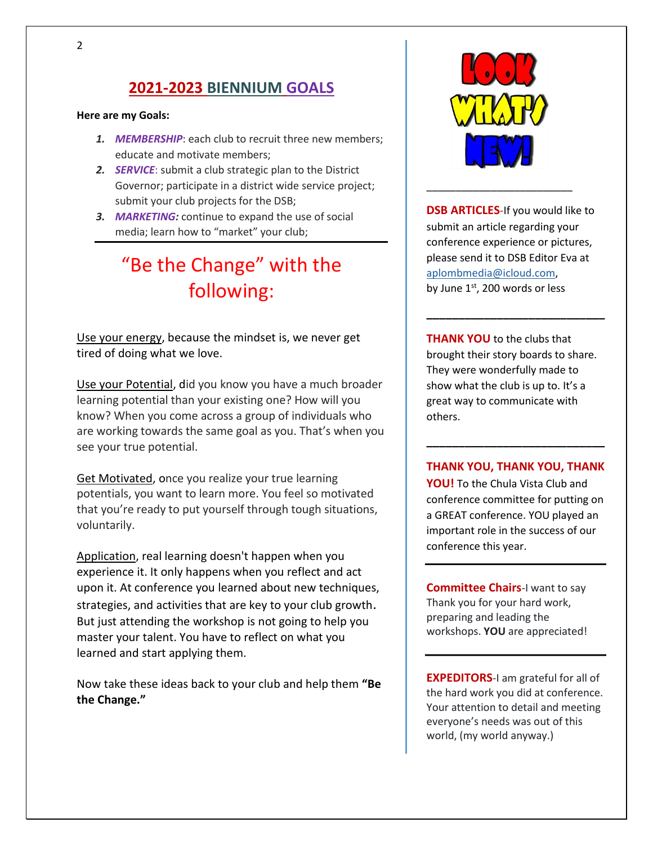# **2021-2023 BIENNIUM GOALS**

#### **Here are my Goals:**

- *1. MEMBERSHIP*: each club to recruit three new members; educate and motivate members;
- *2. SERVICE*: submit a club strategic plan to the District Governor; participate in a district wide service project; submit your club projects for the DSB;
- *3. MARKETING:* continue to expand the use of social media; learn how to "market" your club;

# "Be the Change" with the following:

Use your energy, because the mindset is, we never get tired of doing what we love.

Use your Potential, did you know you have a much broader learning potential than your existing one? How will you know? When you come across a group of individuals who are working towards the same goal as you. That's when you see your true potential.

Get Motivated, once you realize your true learning potentials, you want to learn more. You feel so motivated that you're ready to put yourself through tough situations, voluntarily.

Application, real learning doesn't happen when you experience it. It only happens when you reflect and act upon it. At conference you learned about new techniques, strategies, and activities that are key to your club growth. But just attending the workshop is not going to help you master your talent. You have to reflect on what you learned and start applying them.

Now take these ideas back to your club and help them **"Be the Change."**



\_\_\_\_\_\_\_\_\_\_\_\_\_\_\_\_\_\_\_\_\_\_\_\_\_

**DSB ARTICLES**-If you would like to submit an article regarding your conference experience or pictures, please send it to DSB Editor Eva at [aplombmedia@icloud.com,](mailto:aplombmedia@icloud.com) by June  $1<sup>st</sup>$ , 200 words or less

**THANK YOU** to the clubs that brought their story boards to share. They were wonderfully made to show what the club is up to. It's a great way to communicate with others.

**\_\_\_\_\_\_\_\_\_\_\_\_\_\_\_\_\_\_\_\_\_\_\_\_\_\_\_\_**

### **THANK YOU, THANK YOU, THANK**

**\_\_\_\_\_\_\_\_\_\_\_\_\_\_\_\_\_\_\_\_\_\_\_\_\_\_\_\_**

**YOU!** To the Chula Vista Club and conference committee for putting on a GREAT conference. YOU played an important role in the success of our conference this year.

**Committee Chairs**-I want to say Thank you for your hard work, preparing and leading the workshops. **YOU** are appreciated!

**EXPEDITORS**-I am grateful for all of the hard work you did at conference. Your attention to detail and meeting everyone's needs was out of this world, (my world anyway.)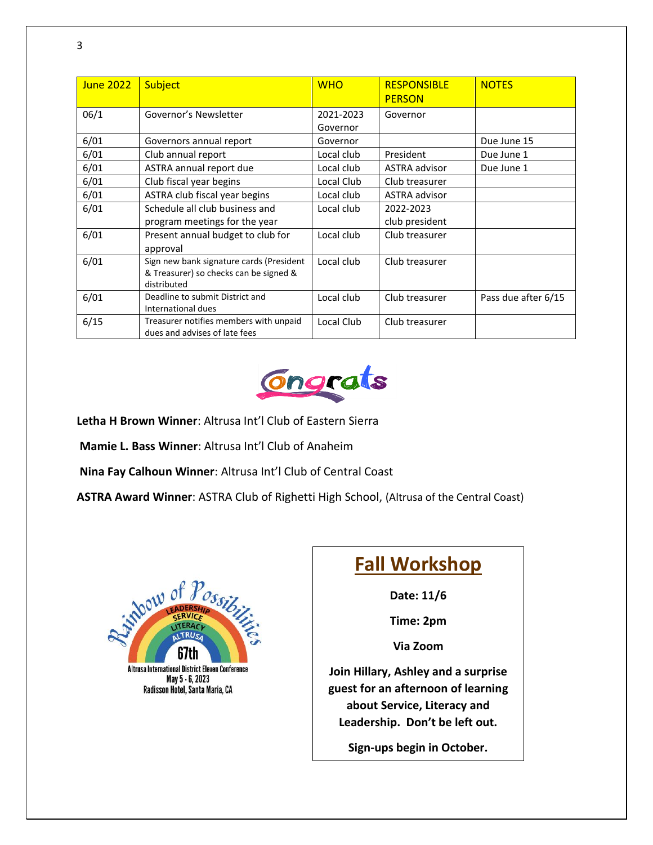| June 2022 | <b>Subject</b>                                                                                    | <b>WHO</b>            | <b>RESPONSIBLE</b><br><b>PERSON</b> | <b>NOTES</b>        |
|-----------|---------------------------------------------------------------------------------------------------|-----------------------|-------------------------------------|---------------------|
| 06/1      | Governor's Newsletter                                                                             | 2021-2023<br>Governor | Governor                            |                     |
| 6/01      | Governors annual report                                                                           | Governor              |                                     | Due June 15         |
| 6/01      | Club annual report                                                                                | Local club            | President                           | Due June 1          |
| 6/01      | ASTRA annual report due                                                                           | Local club            | ASTRA advisor                       | Due June 1          |
| 6/01      | Club fiscal year begins                                                                           | Local Club            | Club treasurer                      |                     |
| 6/01      | ASTRA club fiscal year begins                                                                     | Local club            | <b>ASTRA advisor</b>                |                     |
| 6/01      | Schedule all club business and                                                                    | Local club            | 2022-2023                           |                     |
|           | program meetings for the year                                                                     |                       | club president                      |                     |
| 6/01      | Present annual budget to club for<br>approval                                                     | Local club            | Club treasurer                      |                     |
| 6/01      | Sign new bank signature cards (President<br>& Treasurer) so checks can be signed &<br>distributed | Local club            | Club treasurer                      |                     |
| 6/01      | Deadline to submit District and<br>International dues                                             | Local club            | Club treasurer                      | Pass due after 6/15 |
| 6/15      | Treasurer notifies members with unpaid<br>dues and advises of late fees                           | Local Club            | Club treasurer                      |                     |



**Letha H Brown Winner**: Altrusa Int'l Club of Eastern Sierra

**Mamie L. Bass Winner**: Altrusa Int'l Club of Anaheim

**Nina Fay Calhoun Winner**: Altrusa Int'l Club of Central Coast

**ASTRA Award Winner**: ASTRA Club of Righetti High School, (Altrusa of the Central Coast)



# **Fall Workshop**

**Date: 11/6**

**Time: 2pm**

**Via Zoom**

**Join Hillary, Ashley and a surprise guest for an afternoon of learning about Service, Literacy and Leadership. Don't be left out.** 

**Sign-ups begin in October.**